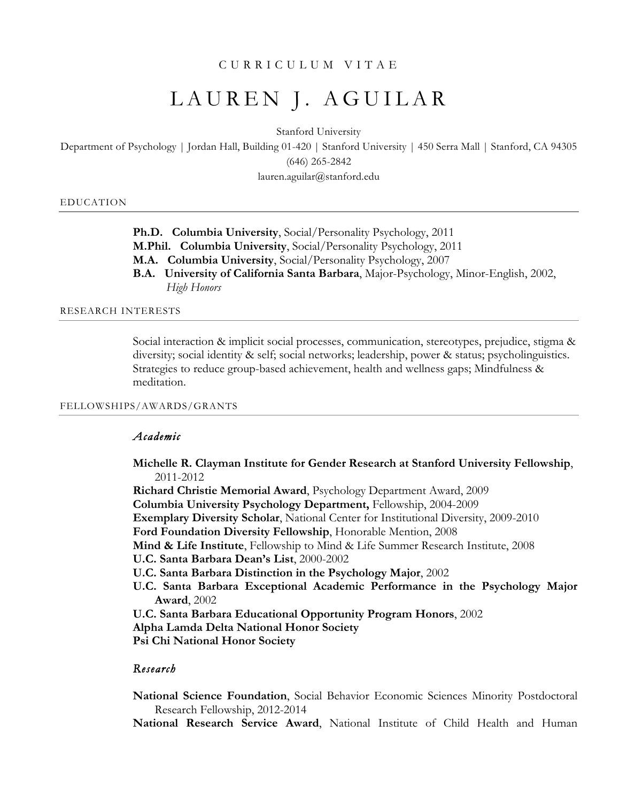## CURRICULUM VITAE

# LAUREN J. AGUILAR

Stanford University

Department of Psychology | Jordan Hall, Building 01-420 | Stanford University | 450 Serra Mall | Stanford, CA 94305 (646) 265-2842

lauren.aguilar@stanford.edu

EDUCATION

**Ph.D. Columbia University**, Social/Personality Psychology, 2011 **M.Phil. Columbia University**, Social/Personality Psychology, 2011 **M.A. Columbia University**, Social/Personality Psychology, 2007 **B.A. University of California Santa Barbara**, Major-Psychology, Minor-English, 2002, *High Honors*

RESEARCH INTERESTS

Social interaction & implicit social processes, communication, stereotypes, prejudice, stigma & diversity; social identity & self; social networks; leadership, power & status; psycholinguistics. Strategies to reduce group-based achievement, health and wellness gaps; Mindfulness & meditation.

## FELLOWSHIPS/AWARDS/GRANTS

## *Academic*

**Michelle R. Clayman Institute for Gender Research at Stanford University Fellowship**, 2011-2012

**Richard Christie Memorial Award**, Psychology Department Award, 2009

**Columbia University Psychology Department,** Fellowship, 2004-2009

**Exemplary Diversity Scholar**, National Center for Institutional Diversity, 2009-2010

**Ford Foundation Diversity Fellowship**, Honorable Mention, 2008

**Mind & Life Institute**, Fellowship to Mind & Life Summer Research Institute, 2008

**U.C. Santa Barbara Dean's List**, 2000-2002

**U.C. Santa Barbara Distinction in the Psychology Major**, 2002

**U.C. Santa Barbara Exceptional Academic Performance in the Psychology Major Award**, 2002

**U.C. Santa Barbara Educational Opportunity Program Honors**, 2002

**Alpha Lamda Delta National Honor Society**

**Psi Chi National Honor Society**

# *Research*

**National Science Foundation**, Social Behavior Economic Sciences Minority Postdoctoral Research Fellowship, 2012-2014

**National Research Service Award**, National Institute of Child Health and Human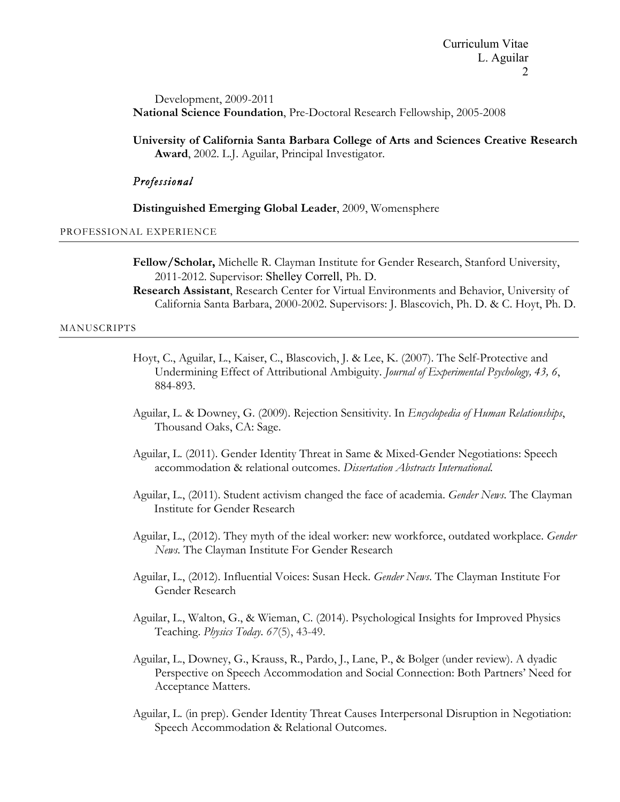Development, 2009-2011 **National Science Foundation**, Pre-Doctoral Research Fellowship, 2005-2008

**University of California Santa Barbara College of Arts and Sciences Creative Research Award**, 2002. L.J. Aguilar, Principal Investigator.

## *Professional*

**Distinguished Emerging Global Leader**, 2009, Womensphere

PROFESSIONAL EXPERIENCE

**Fellow/Scholar,** Michelle R. Clayman Institute for Gender Research, Stanford University, 2011-2012. Supervisor: Shelley Correll, Ph. D.

**Research Assistant**, Research Center for Virtual Environments and Behavior, University of California Santa Barbara, 2000-2002. Supervisors: J. Blascovich, Ph. D. & C. Hoyt, Ph. D.

#### MANUSCRIPTS

- Hoyt, C., Aguilar, L., Kaiser, C., Blascovich, J. & Lee, K. (2007). The Self-Protective and Undermining Effect of Attributional Ambiguity. *Journal of Experimental Psychology, 43, 6*, 884-893.
- Aguilar, L. & Downey, G. (2009). Rejection Sensitivity. In *Encyclopedia of Human Relationships*, Thousand Oaks, CA: Sage.
- Aguilar, L. (2011). Gender Identity Threat in Same & Mixed-Gender Negotiations: Speech accommodation & relational outcomes. *Dissertation Abstracts International.*
- Aguilar, L., (2011). Student activism changed the face of academia. *Gender News*. The Clayman Institute for Gender Research
- Aguilar, L., (2012). They myth of the ideal worker: new workforce, outdated workplace. *Gender News.* The Clayman Institute For Gender Research
- Aguilar, L., (2012). Influential Voices: Susan Heck. *Gender News*. The Clayman Institute For Gender Research
- Aguilar, L., Walton, G., & Wieman, C. (2014). Psychological Insights for Improved Physics Teaching. *Physics Today*. *67*(5), 43-49.
- Aguilar, L., Downey, G., Krauss, R., Pardo, J., Lane, P., & Bolger (under review). A dyadic Perspective on Speech Accommodation and Social Connection: Both Partners' Need for Acceptance Matters.
- Aguilar, L. (in prep). Gender Identity Threat Causes Interpersonal Disruption in Negotiation: Speech Accommodation & Relational Outcomes.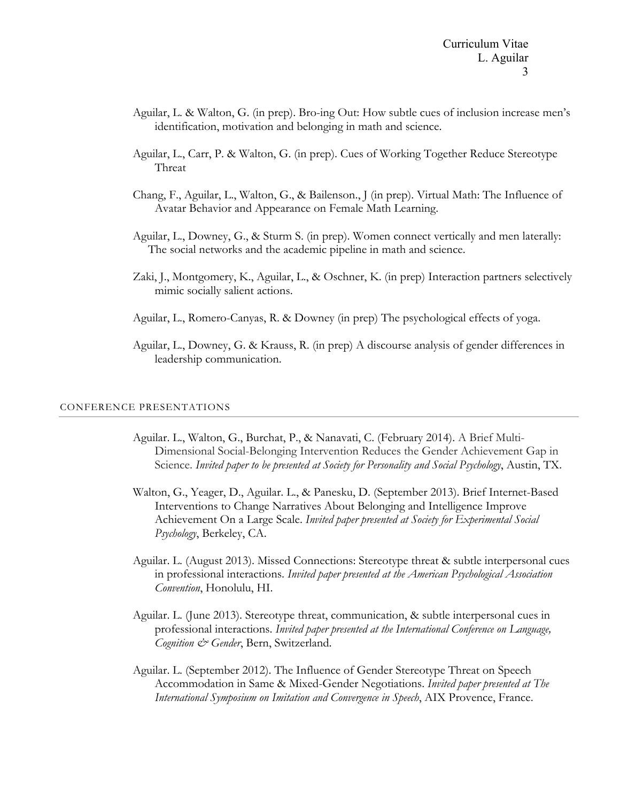- Aguilar, L. & Walton, G. (in prep). Bro-ing Out: How subtle cues of inclusion increase men's identification, motivation and belonging in math and science.
- Aguilar, L., Carr, P. & Walton, G. (in prep). Cues of Working Together Reduce Stereotype Threat
- Chang, F., Aguilar, L., Walton, G., & Bailenson., J (in prep). Virtual Math: The Influence of Avatar Behavior and Appearance on Female Math Learning.
- Aguilar, L., Downey, G., & Sturm S. (in prep). Women connect vertically and men laterally: The social networks and the academic pipeline in math and science.
- Zaki, J., Montgomery, K., Aguilar, L., & Oschner, K. (in prep) Interaction partners selectively mimic socially salient actions.
- Aguilar, L., Romero-Canyas, R. & Downey (in prep) The psychological effects of yoga.
- Aguilar, L., Downey, G. & Krauss, R. (in prep) A discourse analysis of gender differences in leadership communication.

#### CONFERENCE PRESENTATIONS

- Aguilar. L., Walton, G., Burchat, P., & Nanavati, C. (February 2014). A Brief Multi-Dimensional Social-Belonging Intervention Reduces the Gender Achievement Gap in Science. *Invited paper to be presented at Society for Personality and Social Psychology*, Austin, TX.
- Walton, G., Yeager, D., Aguilar. L., & Panesku, D. (September 2013). Brief Internet-Based Interventions to Change Narratives About Belonging and Intelligence Improve Achievement On a Large Scale. *Invited paper presented at Society for Experimental Social Psychology*, Berkeley, CA.
- Aguilar. L. (August 2013). Missed Connections: Stereotype threat & subtle interpersonal cues in professional interactions. *Invited paper presented at the American Psychological Association Convention*, Honolulu, HI.
- Aguilar. L. (June 2013). Stereotype threat, communication, & subtle interpersonal cues in professional interactions. *Invited paper presented at the International Conference on Language, Cognition & Gender*, Bern, Switzerland.
- Aguilar. L. (September 2012). The Influence of Gender Stereotype Threat on Speech Accommodation in Same & Mixed-Gender Negotiations. *Invited paper presented at The International Symposium on Imitation and Convergence in Speech*, AIX Provence, France.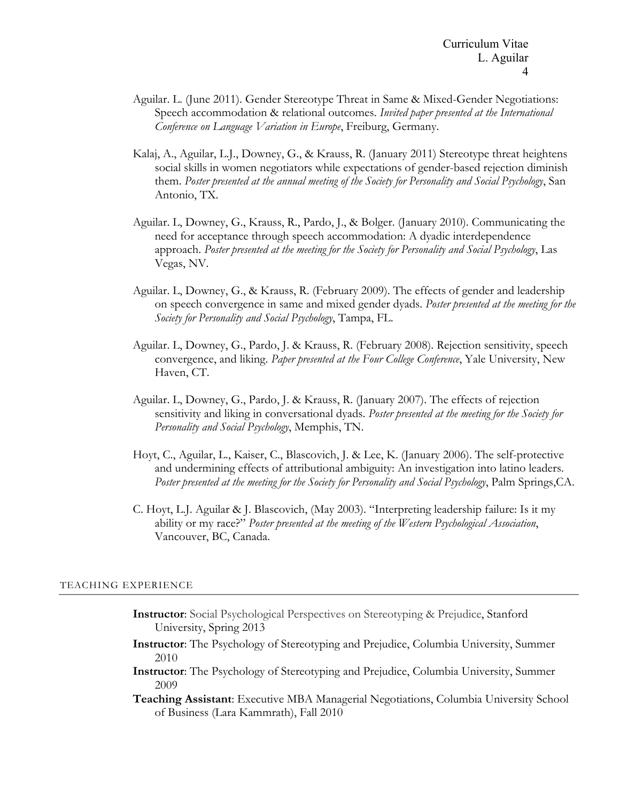- Aguilar. L. (June 2011). Gender Stereotype Threat in Same & Mixed-Gender Negotiations: Speech accommodation & relational outcomes. *Invited paper presented at the International Conference on Language Variation in Europe*, Freiburg, Germany.
- Kalaj, A., Aguilar, L.J., Downey, G., & Krauss, R. (January 2011) Stereotype threat heightens social skills in women negotiators while expectations of gender-based rejection diminish them. *Poster presented at the annual meeting of the Society for Personality and Social Psychology*, San Antonio, TX.
- Aguilar. L, Downey, G., Krauss, R., Pardo, J., & Bolger. (January 2010). Communicating the need for acceptance through speech accommodation: A dyadic interdependence approach. *Poster presented at the meeting for the Society for Personality and Social Psychology*, Las Vegas, NV.
- Aguilar. L, Downey, G., & Krauss, R. (February 2009). The effects of gender and leadership on speech convergence in same and mixed gender dyads. *Poster presented at the meeting for the Society for Personality and Social Psychology*, Tampa, FL.
- Aguilar. L, Downey, G., Pardo, J. & Krauss, R. (February 2008). Rejection sensitivity, speech convergence, and liking. *Paper presented at the Four College Conference*, Yale University, New Haven, CT.
- Aguilar. L, Downey, G., Pardo, J. & Krauss, R. (January 2007). The effects of rejection sensitivity and liking in conversational dyads. *Poster presented at the meeting for the Society for Personality and Social Psychology*, Memphis, TN.
- Hoyt, C., Aguilar, L., Kaiser, C., Blascovich, J. & Lee, K. (January 2006). The self-protective and undermining effects of attributional ambiguity: An investigation into latino leaders. *Poster presented at the meeting for the Society for Personality and Social Psychology*, Palm Springs,CA.
- C. Hoyt, L.J. Aguilar & J. Blascovich, (May 2003). "Interpreting leadership failure: Is it my ability or my race?" *Poster presented at the meeting of the Western Psychological Association*, Vancouver, BC, Canada.

#### TEACHING EXPERIENCE

- **Instructor**: Social Psychological Perspectives on Stereotyping & Prejudice, Stanford University, Spring 2013
- **Instructor**: The Psychology of Stereotyping and Prejudice, Columbia University, Summer 2010
- **Instructor**: The Psychology of Stereotyping and Prejudice, Columbia University, Summer 2009

**Teaching Assistant**: Executive MBA Managerial Negotiations, Columbia University School of Business (Lara Kammrath), Fall 2010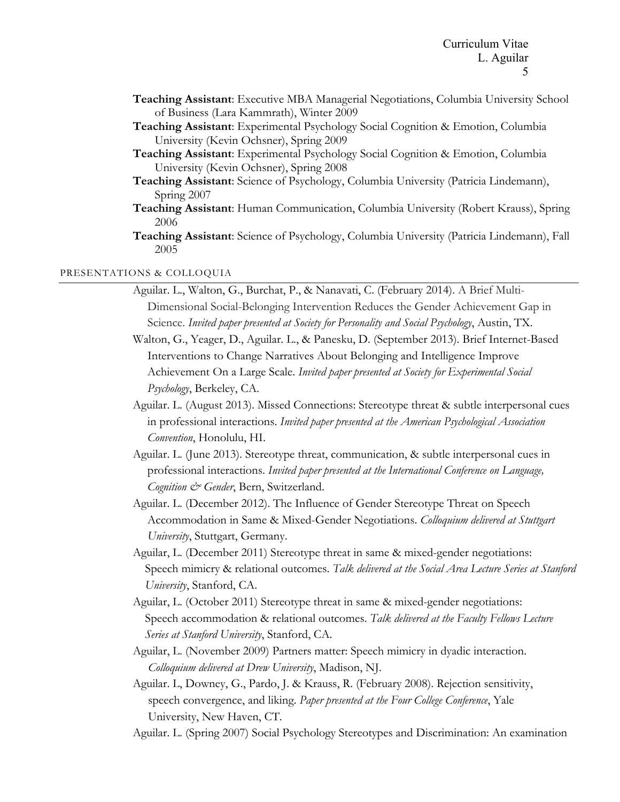- **Teaching Assistant**: Executive MBA Managerial Negotiations, Columbia University School of Business (Lara Kammrath), Winter 2009
- **Teaching Assistant**: Experimental Psychology Social Cognition & Emotion, Columbia University (Kevin Ochsner), Spring 2009
- **Teaching Assistant**: Experimental Psychology Social Cognition & Emotion, Columbia University (Kevin Ochsner), Spring 2008
- **Teaching Assistant**: Science of Psychology, Columbia University (Patricia Lindemann), Spring 2007
- **Teaching Assistant**: Human Communication, Columbia University (Robert Krauss), Spring 2006
- **Teaching Assistant**: Science of Psychology, Columbia University (Patricia Lindemann), Fall 2005

## PRESENTATIONS & COLLOQUIA

- Aguilar. L., Walton, G., Burchat, P., & Nanavati, C. (February 2014). A Brief Multi-Dimensional Social-Belonging Intervention Reduces the Gender Achievement Gap in Science. *Invited paper presented at Society for Personality and Social Psychology*, Austin, TX.
- Walton, G., Yeager, D., Aguilar. L., & Panesku, D. (September 2013). Brief Internet-Based Interventions to Change Narratives About Belonging and Intelligence Improve Achievement On a Large Scale. *Invited paper presented at Society for Experimental Social Psychology*, Berkeley, CA.
- Aguilar. L. (August 2013). Missed Connections: Stereotype threat & subtle interpersonal cues in professional interactions. *Invited paper presented at the American Psychological Association Convention*, Honolulu, HI.
- Aguilar. L. (June 2013). Stereotype threat, communication, & subtle interpersonal cues in professional interactions. *Invited paper presented at the International Conference on Language, Cognition & Gender*, Bern, Switzerland.
- Aguilar. L. (December 2012). The Influence of Gender Stereotype Threat on Speech Accommodation in Same & Mixed-Gender Negotiations. *Colloquium delivered at Stuttgart University*, Stuttgart, Germany.
- Aguilar, L. (December 2011) Stereotype threat in same & mixed-gender negotiations: Speech mimicry & relational outcomes. *Talk delivered at the Social Area Lecture Series at Stanford University*, Stanford, CA.
- Aguilar, L. (October 2011) Stereotype threat in same & mixed-gender negotiations: Speech accommodation & relational outcomes. *Talk delivered at the Faculty Fellows Lecture Series at Stanford University*, Stanford, CA.
- Aguilar, L. (November 2009) Partners matter: Speech mimicry in dyadic interaction. *Colloquium delivered at Drew University*, Madison, NJ.
- Aguilar. L, Downey, G., Pardo, J. & Krauss, R. (February 2008). Rejection sensitivity, speech convergence, and liking. *Paper presented at the Four College Conference*, Yale University, New Haven, CT.
- Aguilar. L. (Spring 2007) Social Psychology Stereotypes and Discrimination: An examination